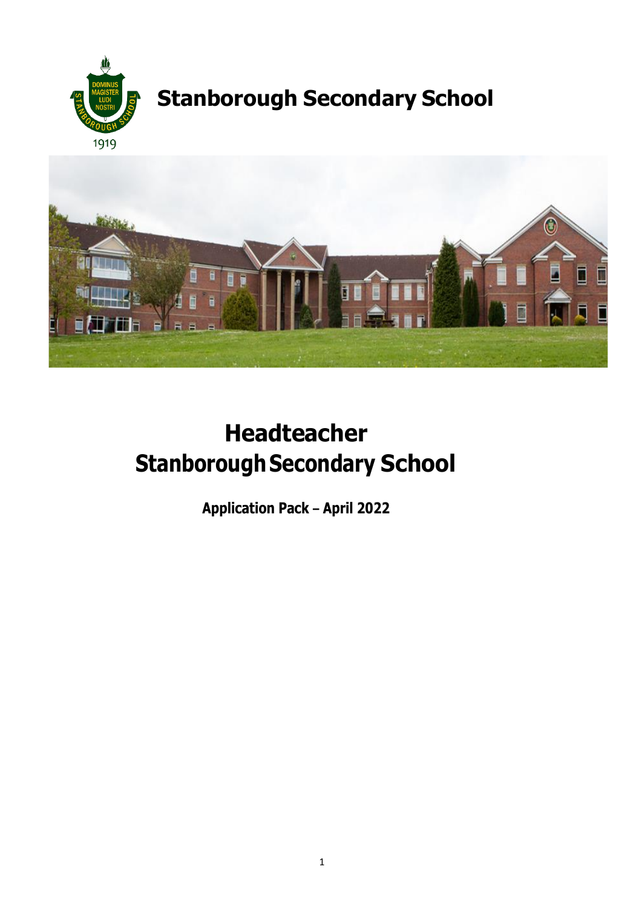



# **Headteacher Stanborough Secondary School**

**Application Pack – April 2022**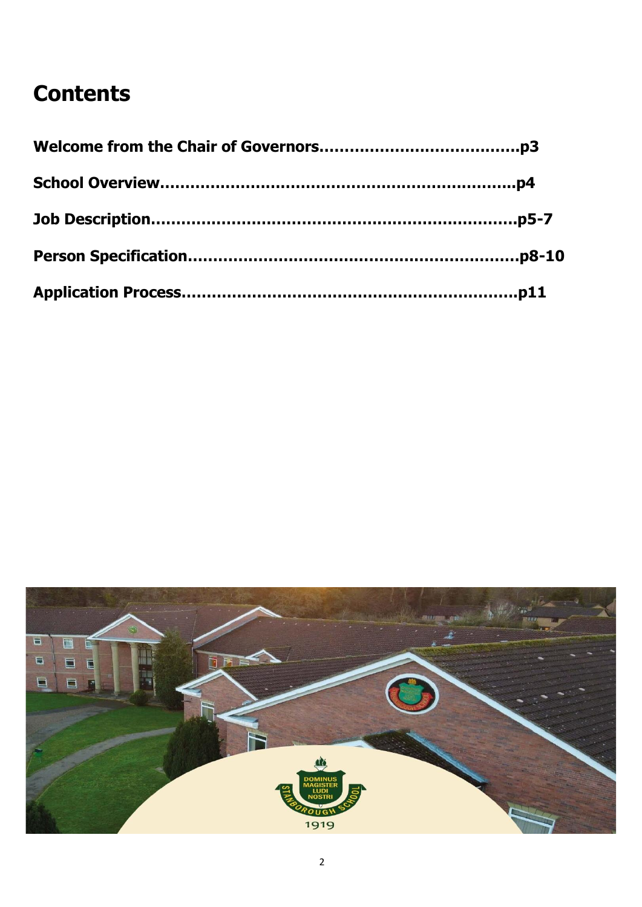## **Contents**

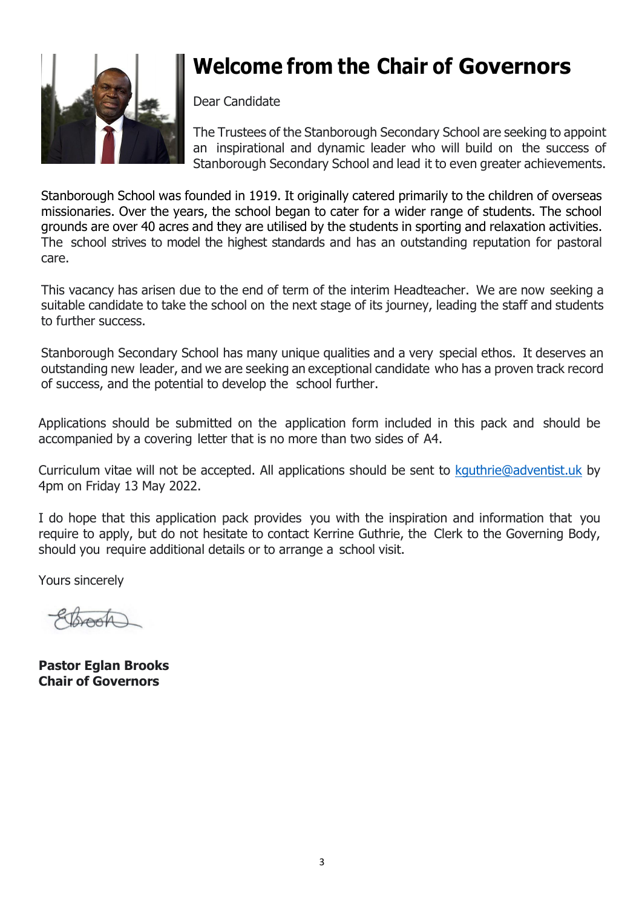

## **Welcome from the Chair of Governors**

Dear Candidate

The Trustees of the Stanborough Secondary School are seeking to appoint an inspirational and dynamic leader who will build on the success of Stanborough Secondary School and lead it to even greater achievements.

Stanborough School was founded in 1919. It originally catered primarily to the children of overseas missionaries. Over the years, the school began to cater for a wider range of students. The school grounds are over 40 acres and they are utilised by the students in sporting and relaxation activities. The school strives to model the highest standards and has an outstanding reputation for pastoral care.

This vacancy has arisen due to the end of term of the interim Headteacher. We are now seeking a suitable candidate to take the school on the next stage of its journey, leading the staff and students to further success.

Stanborough Secondary School has many unique qualities and a very special ethos. It deserves an outstanding new leader, and we are seeking an exceptional candidate who has a proven track record of success, and the potential to develop the school further.

Applications should be submitted on the application form included in this pack and should be accompanied by a covering letter that is no more than two sides of A4.

Curriculum vitae will not be accepted. All applications should be sent to [kguthrie@adventist.uk](mailto:kguthrie@adventist.uk) by 4pm on Friday 13 May 2022.

I do hope that this application pack provides you with the inspiration and information that you require to apply, but do not hesitate to contact Kerrine Guthrie, the Clerk to the Governing Body, should you require additional details or to arrange a school visit.

Yours sincerely

**Pastor Eglan Brooks Chair of Governors**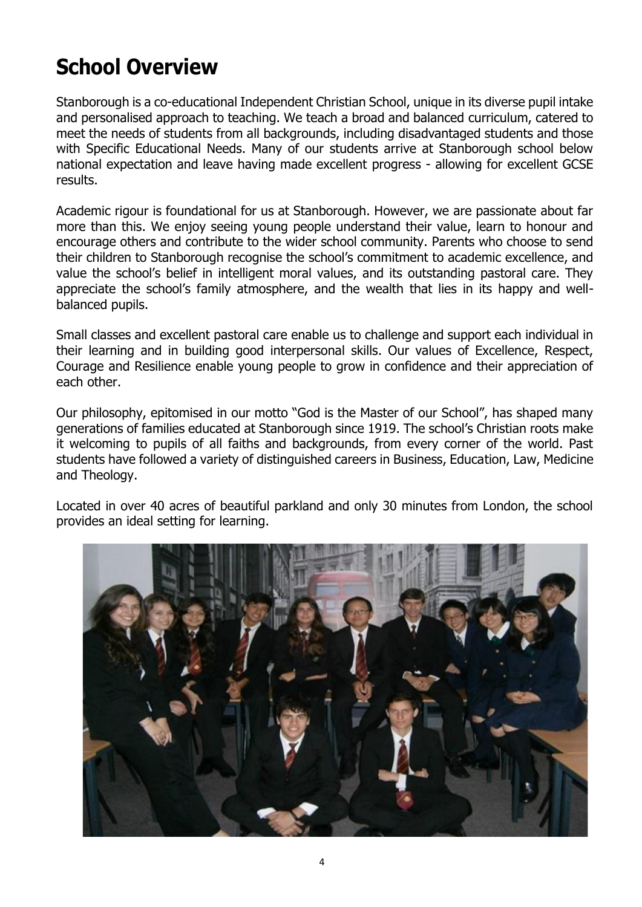## **School Overview**

Stanborough is a co-educational Independent Christian School, unique in its diverse pupil intake and personalised approach to teaching. We teach a broad and balanced curriculum, catered to meet the needs of students from all backgrounds, including disadvantaged students and those with Specific Educational Needs. Many of our students arrive at Stanborough school below national expectation and leave having made excellent progress - allowing for excellent GCSE results.

Academic rigour is foundational for us at Stanborough. However, we are passionate about far more than this. We enjoy seeing young people understand their value, learn to honour and encourage others and contribute to the wider school community. Parents who choose to send their children to Stanborough recognise the school's commitment to academic excellence, and value the school's belief in intelligent moral values, and its outstanding pastoral care. They appreciate the school's family atmosphere, and the wealth that lies in its happy and wellbalanced pupils.

Small classes and excellent pastoral care enable us to challenge and support each individual in their learning and in building good interpersonal skills. Our values of Excellence, Respect, Courage and Resilience enable young people to grow in confidence and their appreciation of each other.

Our philosophy, epitomised in our motto "God is the Master of our School", has shaped many generations of families educated at Stanborough since 1919. The school's Christian roots make it welcoming to pupils of all faiths and backgrounds, from every corner of the world. Past students have followed a variety of distinguished careers in Business, Education, Law, Medicine and Theology.

Located in over 40 acres of beautiful parkland and only 30 minutes from London, the school provides an ideal setting for learning.

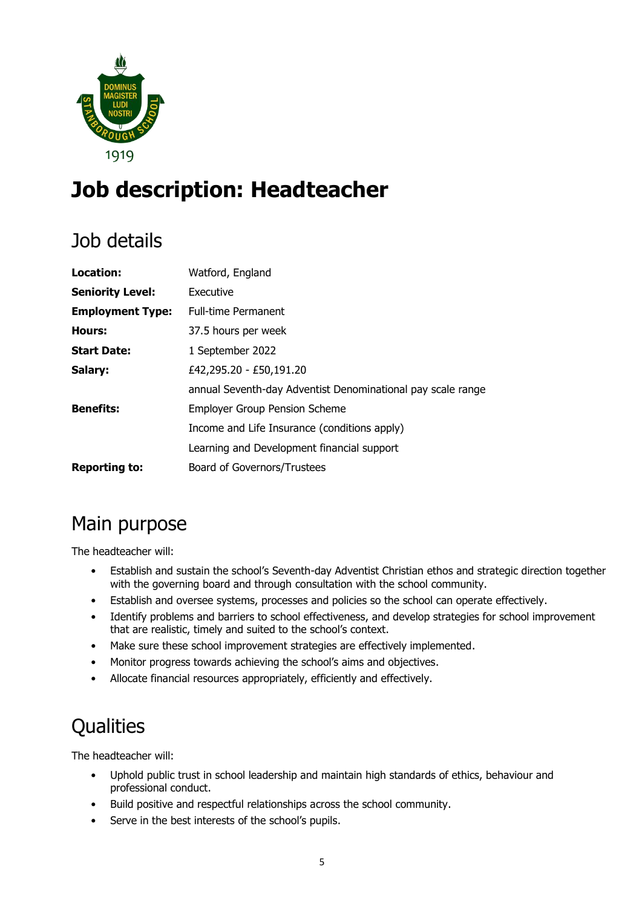

## **Job description: Headteacher**

## Job details

| Location:               | Watford, England                                            |
|-------------------------|-------------------------------------------------------------|
| <b>Seniority Level:</b> | Executive                                                   |
| <b>Employment Type:</b> | <b>Full-time Permanent</b>                                  |
| Hours:                  | 37.5 hours per week                                         |
| <b>Start Date:</b>      | 1 September 2022                                            |
| Salary:                 | £42,295.20 - £50,191.20                                     |
|                         | annual Seventh-day Adventist Denominational pay scale range |
| <b>Benefits:</b>        | <b>Employer Group Pension Scheme</b>                        |
|                         | Income and Life Insurance (conditions apply)                |
|                         | Learning and Development financial support                  |
| <b>Reporting to:</b>    | Board of Governors/Trustees                                 |

## Main purpose

The headteacher will:

- Establish and sustain the school's Seventh-day Adventist Christian ethos and strategic direction together with the governing board and through consultation with the school community.
- Establish and oversee systems, processes and policies so the school can operate effectively.
- Identify problems and barriers to school effectiveness, and develop strategies for school improvement that are realistic, timely and suited to the school's context.
- Make sure these school improvement strategies are effectively implemented.
- Monitor progress towards achieving the school's aims and objectives.
- Allocate financial resources appropriately, efficiently and effectively.

## **Qualities**

The headteacher will:

- Uphold public trust in school leadership and maintain high standards of ethics, behaviour and professional conduct.
- Build positive and respectful relationships across the school community.
- Serve in the best interests of the school's pupils.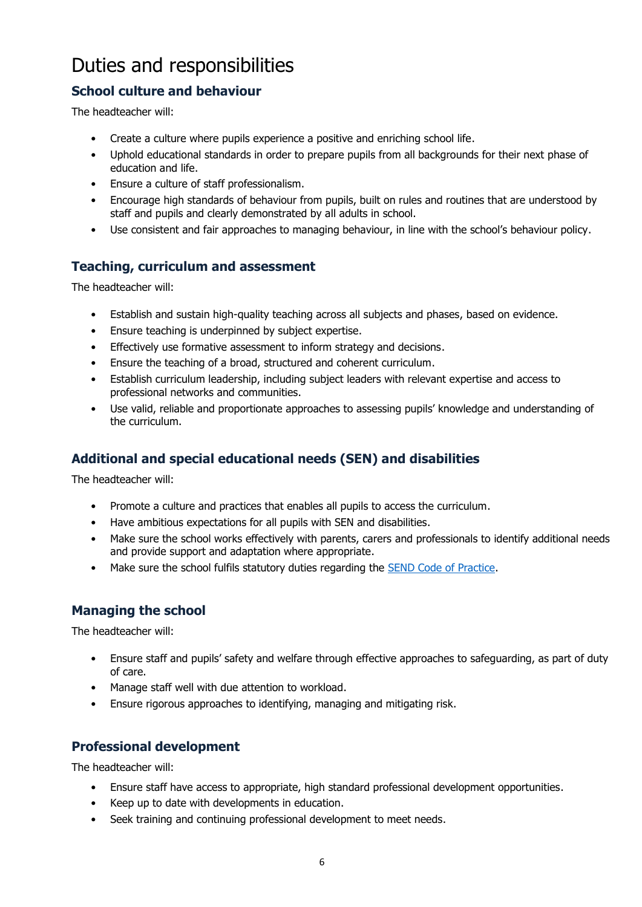## Duties and responsibilities

#### **School culture and behaviour**

The headteacher will:

- Create a culture where pupils experience a positive and enriching school life.
- Uphold educational standards in order to prepare pupils from all backgrounds for their next phase of education and life.
- Ensure a culture of staff professionalism.
- Encourage high standards of behaviour from pupils, built on rules and routines that are understood by staff and pupils and clearly demonstrated by all adults in school.
- Use consistent and fair approaches to managing behaviour, in line with the school's behaviour policy.

#### **Teaching, curriculum and assessment**

The headteacher will:

- Establish and sustain high-quality teaching across all subjects and phases, based on evidence.
- Ensure teaching is underpinned by subject expertise.
- Effectively use formative assessment to inform strategy and decisions.
- Ensure the teaching of a broad, structured and coherent curriculum.
- Establish curriculum leadership, including subject leaders with relevant expertise and access to professional networks and communities.
- Use valid, reliable and proportionate approaches to assessing pupils' knowledge and understanding of the curriculum.

### **Additional and special educational needs (SEN) and disabilities**

The headteacher will:

- Promote a culture and practices that enables all pupils to access the curriculum.
- Have ambitious expectations for all pupils with SEN and disabilities.
- Make sure the school works effectively with parents, carers and professionals to identify additional needs and provide support and adaptation where appropriate.
- Make sure the school fulfils statutory duties regarding the [SEND Code of Practice.](https://www.gov.uk/government/publications/send-code-of-practice-0-to-25)

#### **Managing the school**

The headteacher will:

- Ensure staff and pupils' safety and welfare through effective approaches to safeguarding, as part of duty of care.
- Manage staff well with due attention to workload.
- Ensure rigorous approaches to identifying, managing and mitigating risk.

#### **Professional development**

The headteacher will:

- Ensure staff have access to appropriate, high standard professional development opportunities.
- Keep up to date with developments in education.
- Seek training and continuing professional development to meet needs.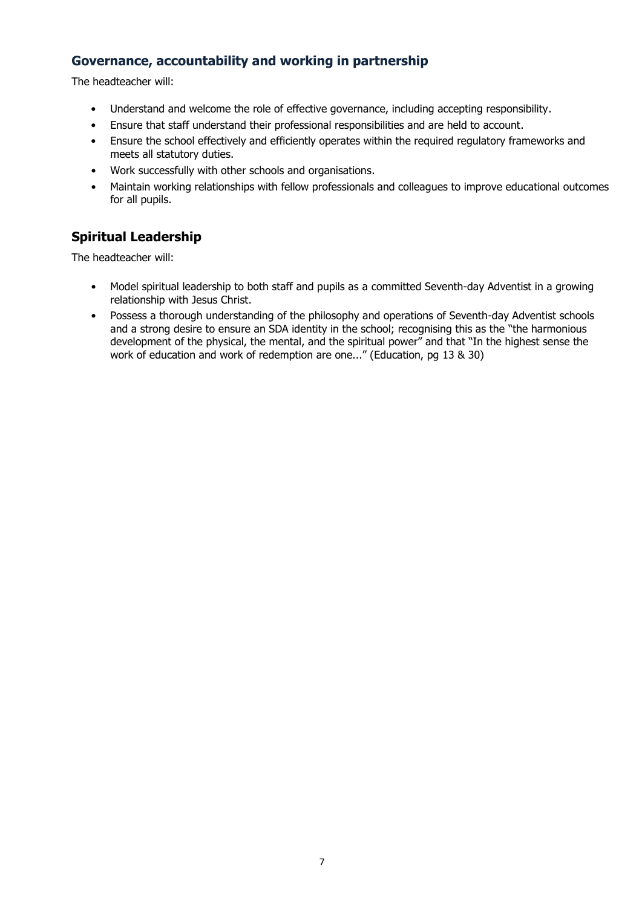#### **Governance, accountability and working in partnership**

The headteacher will:

- Understand and welcome the role of effective governance, including accepting responsibility.
- Ensure that staff understand their professional responsibilities and are held to account.
- Ensure the school effectively and efficiently operates within the required regulatory frameworks and meets all statutory duties.
- Work successfully with other schools and organisations.
- Maintain working relationships with fellow professionals and colleagues to improve educational outcomes for all pupils.

#### **Spiritual Leadership**

The headteacher will:

- Model spiritual leadership to both staff and pupils as a committed Seventh-day Adventist in a growing relationship with Jesus Christ.
- Possess a thorough understanding of the philosophy and operations of Seventh-day Adventist schools and a strong desire to ensure an SDA identity in the school; recognising this as the "the harmonious development of the physical, the mental, and the spiritual power" and that "In the highest sense the work of education and work of redemption are one..." (Education, pg 13 & 30)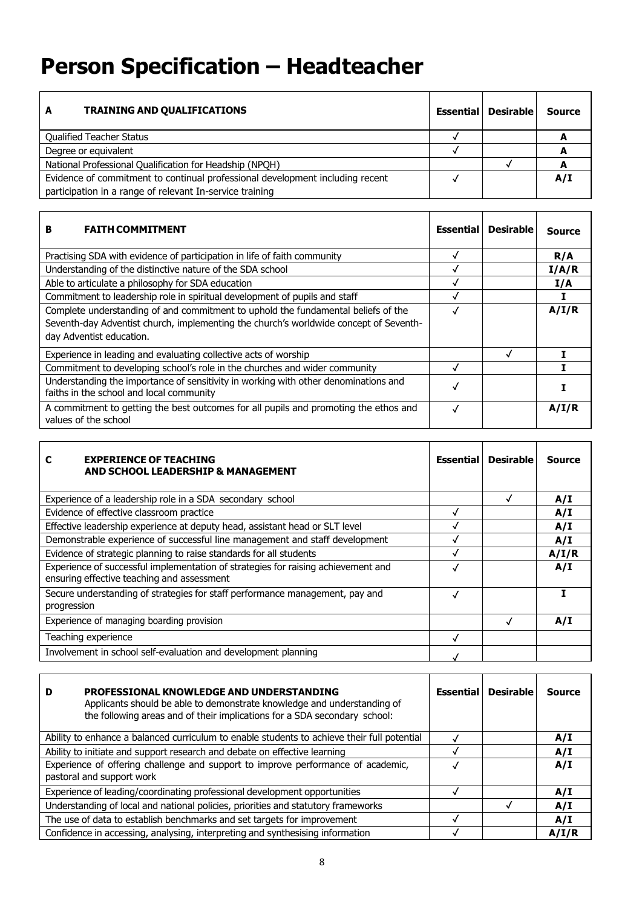## **Person Specification – Headteacher**

| <b>TRAINING AND QUALIFICATIONS</b><br>A                                       | <b>Essential</b> | <b>Desirable</b> | <b>Source</b> |
|-------------------------------------------------------------------------------|------------------|------------------|---------------|
| <b>Qualified Teacher Status</b>                                               |                  |                  |               |
| Degree or equivalent                                                          |                  |                  |               |
| National Professional Qualification for Headship (NPQH)                       |                  |                  |               |
| Evidence of commitment to continual professional development including recent |                  |                  | A/I           |
| participation in a range of relevant In-service training                      |                  |                  |               |

| <b>FAITH COMMITMENT</b><br>в                                                                                                                                                                           | <b>Essential</b> | <b>Desirable</b> | <b>Source</b> |
|--------------------------------------------------------------------------------------------------------------------------------------------------------------------------------------------------------|------------------|------------------|---------------|
| Practising SDA with evidence of participation in life of faith community                                                                                                                               |                  |                  | R/A           |
| Understanding of the distinctive nature of the SDA school                                                                                                                                              |                  |                  | I/A/R         |
| Able to articulate a philosophy for SDA education                                                                                                                                                      |                  |                  | I/A           |
| Commitment to leadership role in spiritual development of pupils and staff                                                                                                                             | M                |                  |               |
| Complete understanding of and commitment to uphold the fundamental beliefs of the<br>Seventh-day Adventist church, implementing the church's worldwide concept of Seventh-<br>day Adventist education. |                  |                  | A/I/R         |
| Experience in leading and evaluating collective acts of worship                                                                                                                                        |                  |                  |               |
| Commitment to developing school's role in the churches and wider community                                                                                                                             |                  |                  |               |
| Understanding the importance of sensitivity in working with other denominations and<br>faiths in the school and local community                                                                        |                  |                  |               |
| A commitment to getting the best outcomes for all pupils and promoting the ethos and<br>values of the school                                                                                           |                  |                  | A/I/R         |

| <b>EXPERIENCE OF TEACHING</b><br>С<br>AND SCHOOL LEADERSHIP & MANAGEMENT                                                        | <b>Essential</b> | <b>Desirable</b> | <b>Source</b> |
|---------------------------------------------------------------------------------------------------------------------------------|------------------|------------------|---------------|
| Experience of a leadership role in a SDA secondary school                                                                       |                  |                  | A/I           |
| Evidence of effective classroom practice                                                                                        |                  |                  | A/I           |
| Effective leadership experience at deputy head, assistant head or SLT level                                                     |                  |                  | A/I           |
| Demonstrable experience of successful line management and staff development                                                     |                  |                  | A/I           |
| Evidence of strategic planning to raise standards for all students                                                              |                  |                  | A/I/R         |
| Experience of successful implementation of strategies for raising achievement and<br>ensuring effective teaching and assessment |                  |                  | A/I           |
| Secure understanding of strategies for staff performance management, pay and<br>progression                                     |                  |                  |               |
| Experience of managing boarding provision                                                                                       |                  |                  | A/I           |
| Teaching experience                                                                                                             |                  |                  |               |
| Involvement in school self-evaluation and development planning                                                                  |                  |                  |               |

| PROFESSIONAL KNOWLEDGE AND UNDERSTANDING<br>D<br>Applicants should be able to demonstrate knowledge and understanding of<br>the following areas and of their implications for a SDA secondary school: | <b>Essential</b> | <b>Desirable</b> | <b>Source</b> |
|-------------------------------------------------------------------------------------------------------------------------------------------------------------------------------------------------------|------------------|------------------|---------------|
| Ability to enhance a balanced curriculum to enable students to achieve their full potential                                                                                                           |                  |                  | A/I           |
| Ability to initiate and support research and debate on effective learning                                                                                                                             |                  |                  | A/I           |
| Experience of offering challenge and support to improve performance of academic,<br>pastoral and support work                                                                                         |                  |                  | A/I           |
| Experience of leading/coordinating professional development opportunities                                                                                                                             |                  |                  | A/I           |
| Understanding of local and national policies, priorities and statutory frameworks                                                                                                                     |                  |                  | A/I           |
| The use of data to establish benchmarks and set targets for improvement                                                                                                                               |                  |                  | A/I           |
| Confidence in accessing, analysing, interpreting and synthesising information                                                                                                                         |                  |                  | A/I/R         |

 $\mathbf{r}$ 

 $\overline{\phantom{a}}$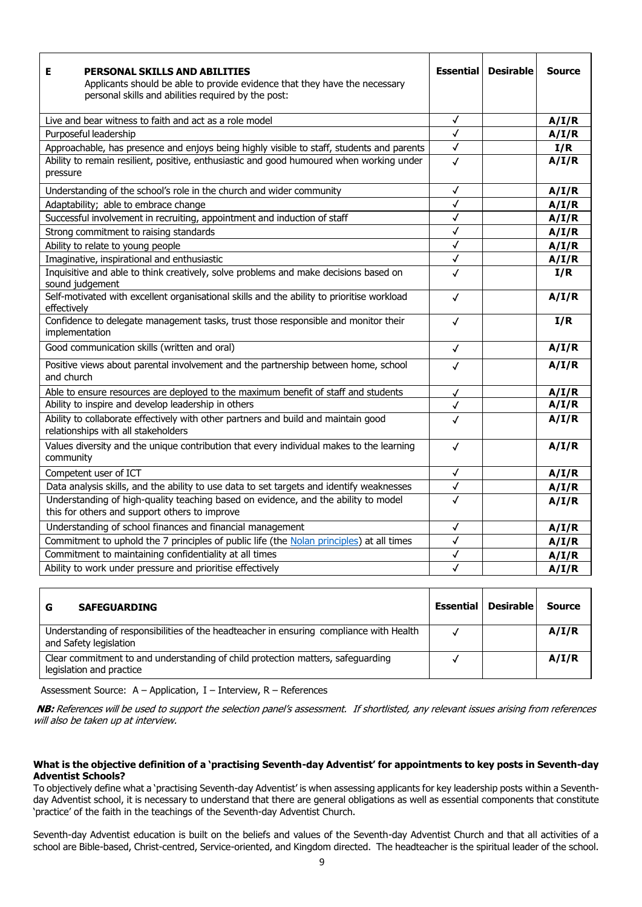| <b>PERSONAL SKILLS AND ABILITIES</b><br>Е<br>Applicants should be able to provide evidence that they have the necessary<br>personal skills and abilities required by the post: | <b>Essential</b> | <b>Desirable</b> | <b>Source</b> |
|--------------------------------------------------------------------------------------------------------------------------------------------------------------------------------|------------------|------------------|---------------|
| Live and bear witness to faith and act as a role model                                                                                                                         | √                |                  | A/I/R         |
| Purposeful leadership                                                                                                                                                          | $\checkmark$     |                  | A/I/R         |
| Approachable, has presence and enjoys being highly visible to staff, students and parents                                                                                      | $\checkmark$     |                  | I/R           |
| Ability to remain resilient, positive, enthusiastic and good humoured when working under<br>pressure                                                                           | √                |                  | A/I/R         |
| Understanding of the school's role in the church and wider community                                                                                                           | √                |                  | A/I/R         |
| Adaptability; able to embrace change                                                                                                                                           | √                |                  | A/I/R         |
| Successful involvement in recruiting, appointment and induction of staff                                                                                                       | √                |                  | A/I/R         |
| Strong commitment to raising standards                                                                                                                                         | $\checkmark$     |                  | A/I/R         |
| Ability to relate to young people                                                                                                                                              | √                |                  | A/I/R         |
| Imaginative, inspirational and enthusiastic                                                                                                                                    | $\checkmark$     |                  | A/I/R         |
| Inquisitive and able to think creatively, solve problems and make decisions based on<br>sound judgement                                                                        | $\checkmark$     |                  | I/R           |
| Self-motivated with excellent organisational skills and the ability to prioritise workload<br>effectively                                                                      | $\checkmark$     |                  | A/I/R         |
| Confidence to delegate management tasks, trust those responsible and monitor their<br>implementation                                                                           | √                |                  | I/R           |
| Good communication skills (written and oral)                                                                                                                                   | $\checkmark$     |                  | A/I/R         |
| Positive views about parental involvement and the partnership between home, school<br>and church                                                                               | $\checkmark$     |                  | A/I/R         |
| Able to ensure resources are deployed to the maximum benefit of staff and students                                                                                             | √                |                  | A/I/R         |
| Ability to inspire and develop leadership in others                                                                                                                            | $\checkmark$     |                  | A/I/R         |
| Ability to collaborate effectively with other partners and build and maintain good<br>relationships with all stakeholders                                                      | $\checkmark$     |                  | A/I/R         |
| Values diversity and the unique contribution that every individual makes to the learning<br>community                                                                          | $\checkmark$     |                  | A/I/R         |
| Competent user of ICT                                                                                                                                                          | √                |                  | A/I/R         |
| Data analysis skills, and the ability to use data to set targets and identify weaknesses                                                                                       | $\checkmark$     |                  | A/I/R         |
| Understanding of high-quality teaching based on evidence, and the ability to model<br>this for others and support others to improve                                            | $\checkmark$     |                  | A/I/R         |
| Understanding of school finances and financial management                                                                                                                      | $\checkmark$     |                  | A/I/R         |
| Commitment to uphold the 7 principles of public life (the Nolan principles) at all times                                                                                       | $\checkmark$     |                  | A/I/R         |
| Commitment to maintaining confidentiality at all times                                                                                                                         | √                |                  | A/I/R         |
| Ability to work under pressure and prioritise effectively                                                                                                                      | $\checkmark$     |                  | A/I/R         |

| <b>SAFEGUARDING</b><br>G                                                                                          | Essential | <b>Desirable</b> | <b>Source</b> |
|-------------------------------------------------------------------------------------------------------------------|-----------|------------------|---------------|
| Understanding of responsibilities of the headteacher in ensuring compliance with Health<br>and Safety legislation |           |                  | A/I/R         |
| Clear commitment to and understanding of child protection matters, safeguarding<br>legislation and practice       |           |                  | A/I/R         |

Assessment Source: A – Application, I – Interview, R – References

**NB:** References will be used to support the selection panel's assessment. If shortlisted, any relevant issues arising from references will also be taken up at interview.

#### **What is the objective definition of a 'practising Seventh-day Adventist' for appointments to key posts in Seventh-day Adventist Schools?**

To objectively define what a 'practising Seventh-day Adventist' is when assessing applicants for key leadership posts within a Seventhday Adventist school, it is necessary to understand that there are general obligations as well as essential components that constitute 'practice' of the faith in the teachings of the Seventh-day Adventist Church.

Seventh-day Adventist education is built on the beliefs and values of the Seventh-day Adventist Church and that all activities of a school are Bible-based, Christ-centred, Service-oriented, and Kingdom directed. The headteacher is the spiritual leader of the school.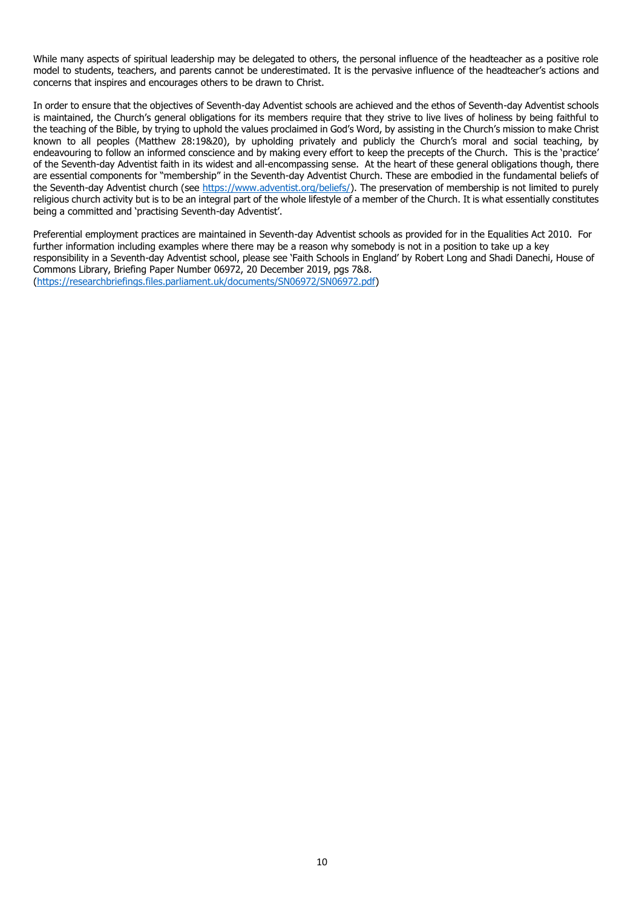While many aspects of spiritual leadership may be delegated to others, the personal influence of the headteacher as a positive role model to students, teachers, and parents cannot be underestimated. It is the pervasive influence of the headteacher's actions and concerns that inspires and encourages others to be drawn to Christ.

In order to ensure that the objectives of Seventh-day Adventist schools are achieved and the ethos of Seventh-day Adventist schools is maintained, the Church's general obligations for its members require that they strive to live lives of holiness by being faithful to the teaching of the Bible, by trying to uphold the values proclaimed in God's Word, by assisting in the Church's mission to make Christ known to all peoples (Matthew 28:19&20), by upholding privately and publicly the Church's moral and social teaching, by endeavouring to follow an informed conscience and by making every effort to keep the precepts of the Church. This is the 'practice' of the Seventh-day Adventist faith in its widest and all-encompassing sense. At the heart of these general obligations though, there are essential components for "membership" in the Seventh-day Adventist Church. These are embodied in the fundamental beliefs of the Seventh-day Adventist church (see [https://www.adventist.org/beliefs/\)](https://www.adventist.org/beliefs/). The preservation of membership is not limited to purely religious church activity but is to be an integral part of the whole lifestyle of a member of the Church. It is what essentially constitutes being a committed and 'practising Seventh-day Adventist'.

Preferential employment practices are maintained in Seventh-day Adventist schools as provided for in the Equalities Act 2010. For further information including examples where there may be a reason why somebody is not in a position to take up a key responsibility in a Seventh-day Adventist school, please see 'Faith Schools in England' by Robert Long and Shadi Danechi, House of Commons Library, Briefing Paper Number 06972, 20 December 2019, pgs 7&8. [\(https://researchbriefings.files.parliament.uk/documents/SN06972/SN06972.pdf\)](https://researchbriefings.files.parliament.uk/documents/SN06972/SN06972.pdf)